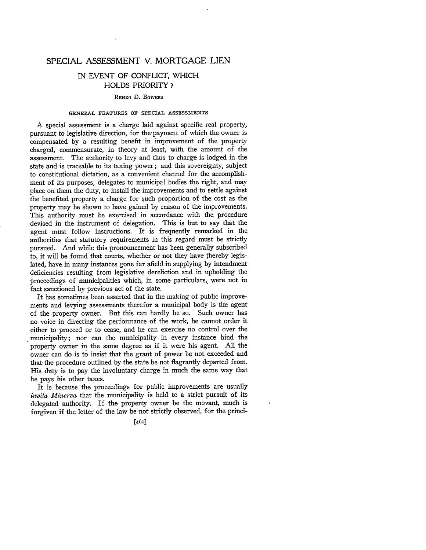## **SPECIAL ASSESSMENT** V. MORTGAGE LIEN

# IN EVENT OF CONFLICT, WHICH HOLDS PRIORITY?

#### **RENzo** D. BoWERs

### **GENERAL FEATURES** OF SPECIAL **ASSESSMENTS**

A special assessment is a charge laid against specific real property, pursuant to legislative direction, for the-payment of which the owner is compensated by a resulting benefit in improvement of the property charged, commensurate, in theory at least, with the amount of the assessment. The authority to levy and thus to charge is lodged in the state and is traceable to its taxing power; and this sovereignty, subject to constitutional dictation, as a convenient channel for the accomplishment of its purposes, delegates to municipal bodies the right, and may place on them the duty, to install the improvements and to settle against the benefited property a charge for such proportion of the cost as the property may be shown to have gained by reason of the improvements. This authority must be exercised in accordance with the procedure devised in the instrument of delegation. This is but to say that the agent must follow instructions. It is frequently remarked in the authorities that statutory requirements in this regard must be strictly pursued. And while this pronouncement has been generally subscribed to, it will be found that courts, whether or not they have thereby legislated, have in many instances gone far afield in supplying by intendment deficiencies resulting from legislative dereliction and in upholding the proceedings of municipalities which, in some particulars, were not in fact sanctioned by previous act of the state.

It has sometimes been asserted that in the making of public improvements and levying assessments therefor a municipal body is the agent of the property owner. But this can hardly be so. Such owner has no voice in directing the performance of the work, he cannot order it either to proceed or to cease, and he can exercise no control over the municipality; nor can the municipality in every instance bind the property owner in the same degree as if it were his agent. All the owner can do is to insist that the grant of power be not exceeded and that the procedure outlined by the state be not flagrantly departed from. His duty is to pay the involuntary charge in much the same way that he pays his other taxes.

It is because the proceedings for public improvements are usually *invita Minerva* that the municipality is held to a strict pursuit of its delegated authority. If the property owner be the movant, much is forgiven if the letter of the law be not strictly observed, for the princi-

 $\ddot{\phantom{a}}$ 

[46o]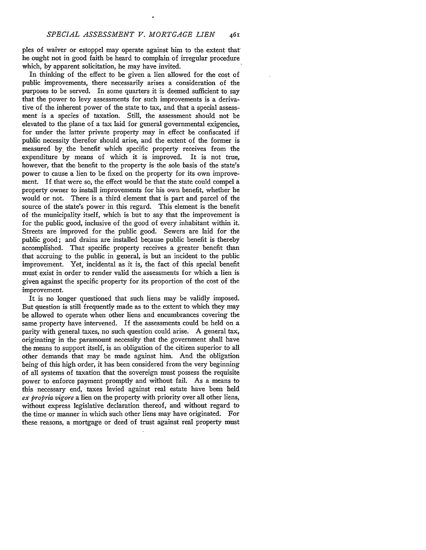ples of waiver or estoppel may operate against him to the extent that' he ought not in good faith be heard to complain of irregular procedure which, by apparent solicitation, he may have invited.

In thinking of the effect to be given a lien allowed for the cost of public improvements, there necessarily arises a consideration of the purposes to be served. In some quarters it is deemed sufficient to say that the power to levy assessments for such improvements is a derivative of the inherent power of the state to tax, and that a special assessment is a species of taxation. Still, the assessment should not be elevated to the plane of a tax laid for general governmental exigencies, for under the latter private property may in effect be confiscated if public necessity therefor should arise, and the extent of the former is measured by. the benefit which specific property receives from the expenditure by means of which it is improved. It is not true, however, that the benefit to the property is the sole basis of the state's power to cause a lien to be fixed on the property for its own improvement. If that were so, the effect would be that the state could compel a property owner to install improvements for his own benefit, whether he would or not. There is a third element that is part and parcel of the source of the state's power in this regard. This element is the benefit of the municipality itself, which is but to say that the improvement is for the public good, inclusive of the good of every inhabitant within it. Streets are improved for the public good. Sewers are laid for the public good; and drains are installed because public benefit is thereby accomplished. That specific property receives a greater benefit than that accruing to the public in general, is but an incident to the public improvement. Yet, incidental as it is, the fact of this special benefit must exist in order to render valid the assessments for which a lien is given against the specific property for its proportion of the cost of the improvement.

It is no longer questioned that such liens may be validly imposed. But question is still frequently made as to the extent to which they may be allowed to operate when other liens and encumbrances covering the same property have intervened. If the assessments could be held on a parity with general taxes, no such question could arise. A general tax, originating in the paramount necessity that the government shall have the means to support itself, is an obligation of the citizen superior to all other demands that may be made against him. And the obligation being of this high order, it has been considered from the very beginning of all systems of taxation that the sovereign must possess the requisite power to enforce payment promptly and without fail. As a means to this necessary end, taxes levied against real estate have been held *ex propria vigore* a lien on the property with priority over all other liens, without express legislative declaration thereof, and without regard to the time or manner in which such other liens may have originated. For these reasons, a mortgage or deed of trust against real property must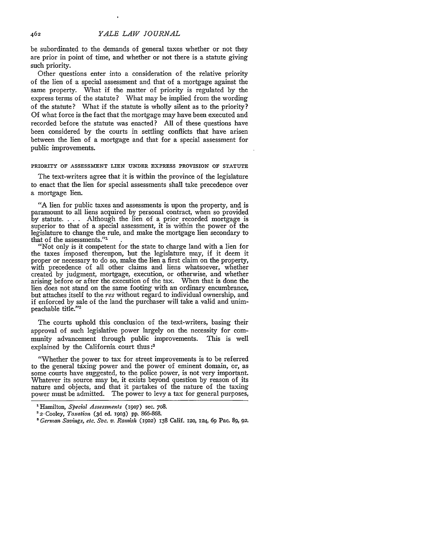be subordinated to the demands of general taxes whether or not they are prior in point of time, and whether or not there is a statute giving such priority.

Other questions enter into a consideration of the relative priority of the lien of a special assessment and that of a mortgage against the same property. What if the matter of priority is regulated by the express terms of the statute? What may be implied from the wording of the statute? What if the statute is wholly silent as to the priority? Of what force is the fact that the mortgage may have been executed and recorded before the statute was enacted? All of these questions have been considered by the courts in settling conflicts that have arisen between the lien of a mortgage and that for a special assessment for public improvements.

#### **PRIORITY** OF **ASSESSMENT** LIEN **UNDER EXPRESS** PROVISION OF **STATUTE**

The text-writers agree that it is within the province of the legislature to enact that the lien for special assessments shall take precedence over a mortgage lien.

"A lien for public taxes and assessments is upon the property, and is paramount to all liens acquired by personal contract, when so provided by statute. . . . Although the lien of a prior recorded mortgage is superior to that of a special assessment, it is within the power of the legislature to change the rule, and make the mortgage lien secondary to that of the assessments."<sup>1</sup>

"Not only is it competent for the state to charge land with a lien for the taxes imposed thereupon, but the legislature may, if it deem it proper or necessary to do so, make the lien a first claim on the property, with precedence of all other claims and liens whatsoever, whether created by judgment, mortgage, execution, or otherwise, and whether arising before or after the execution of the tax. When that is done the lien does not stand on the same footing with an ordinary encumbrance, but attaches itself to the res without regard to individual ownership, and if enforced by sale of the land the purchaser will take a valid and unim-<br>peachable title."<sup>2</sup>

The courts uphold this conclusion of the text-writers, basing their approval of such legislative power largely on the necessity for community advancement through public improvements. This is well explained by the California court thus:<sup>3</sup>

"Whether the power to tax for street improvements is to be referred to the general taxing power and the power of eminent domain, or, as some courts have suggested, to the police power, is not very important. Whatever its source may be, it exists beyond question by reason of its nature and objects, and that it partakes of the nature of the taxing power must be admitted. The power to levy a tax for general purposes,

<sup>&#</sup>x27;Hamilton, *Special Assessments* (1907) sec. 7o8.

<sup>2 2-</sup>Cooley, *Taxation* **(3d** ed. 19o3) **pp.** 866-868.

*<sup>&#</sup>x27;German Sa4ngs, etc. Soc. v. Ransh* (19o2) **138** Calif. **12o,** 124, **69** Pac. **89,** 92.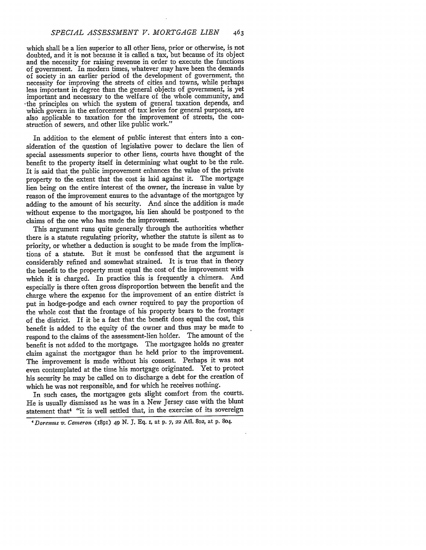which shall be a lien superior to all other liens, prior or otherwise, is not doubted, and it is not because it is called a tax, but because of its object and the necessity for raising revenue in order to execute the functions of government. In modern times, wbatever may have been the demands of society in an earlier period of the development of government, the necessity for improving the streets of cities and towns, while perhaps less important in degree than the general objects of government, is yet important and necessary to the welfare of the whole community, and -the principles on which the system of general taxation depends, and which govern in the enforcement of tax levies for general purposes, are also applicable to taxation for the improvement of streets, the construction of sewers, and other like public work."

In addition to the element of public interest that enters into a consideration of the question of legislative power to declare the lien of special assessments superior to other liens, courts have thought of the benefit to the property itself in determining what ought to be the rule. It is said that the public improvement enhances the value of the private property to the extent that the cost is laid against it. The mortgage lien being on the entire interest of the owner, the increase in value **by** reason of the improvement enures to the advantage of the mortgagee **by** adding to the amount of his security. And since the addition is made without expense to the mortgagee, his lien should be postponed to the claims of the one who has made the improvement.

This argument runs quite generally through the authorities whether there is a statute regulating priority, whether the statute is silent as to priority, or whether a deduction is sought to be made from the implications of a statute. But it must be confessed that the argument is considerably refined and somewhat strained. It is true that in theory the benefit to the property must equal the cost of the improvement with which it is charged. In practice this is frequently a chimera. And especially is there often gross disproportion between the benefit and the charge where the expense for the improvement of an entire district is put in hodge-podge and each owner required to pay the proportion of the whole cost that the frontage of his property bears to the frontage of the district. If it be a fact that the benefit does equal the cost, this benefit is added to the equity of the owner and thus may be made to respond to the claims of the assessment-lien holder. The amount of the benefit is not added to the mortgage. The mortgagee holds no greater claim against the mortgagor than he held prior to the improvement. The improvement is made without his consent. Perhaps it was not even contemplated at the time his mortgage originated. Yet to protect his security he may be called on to discharge a debt for the creation of which he was not responsible, and for which he receives nothing.

In such cases, the mortgagee gets slight comfort from the courts. He is usually dismissed as he was in a New Jersey case with the blunt statement that<sup>4</sup> "it is well settled that, in the exercise of its sovereign

*<sup>&#</sup>x27;Doremus v. Cameron* (i891) *49* **N. 3. Eq.** I, at p. **7,** 22 AtI. 802, at **p. 8o4.**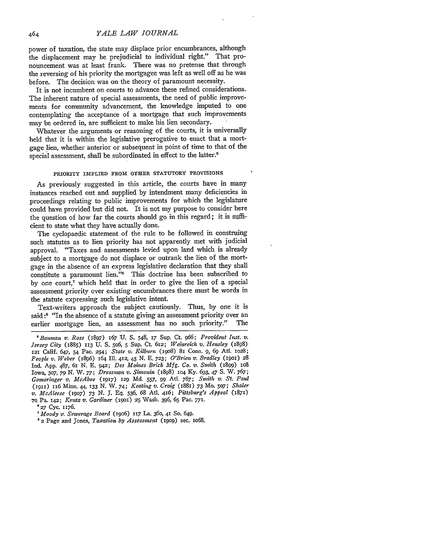power of taxation, the state may displace prior encumbrances, although the displacement may be prejudicial to individual right." That pronouncement was at least frank. There was no pretense that through the reversing of his priority the mortgagee was left as well off as he was before. The decision was on the theory of paramount necessity.

It is not incumbent on courts to advance these refined considerations. The inherent nature of special assessments, the need of public improvements for community advancement, the knowledge imputed to one contemplating the acceptance of a mortgage that such improvements may be ordered in, are sufficient to make his lien secondary.

Whatever the arguments or reasoning of the courts, it is universally held that it is within the legislative prerogative to enact that a mortgage lien, whether anterior or subsequent in point of time to that of the special assessment, shall be subordinated in effect to the latter.<sup>5</sup>

#### PRIORITY IMPLIED **FROM OTHER** STATUTORY PROVISIONS

As previously suggested in this article, the courts have in many instances reached out and supplied by intendment many deficiencies in proceedings relating to public improvements for which the legislature could have provided but did not. It is not my purpose to consider here the question of how far the courts should go in this regard; it is sufficient to state what they have actually done.

The cyclopaedic statement of the rule to be followed in construing such statutes as to lien priority has not apparently met with judicial approval. "Taxes and assessments levied upon land which is already subject to a mortgage do not displace or outrank the lien of the mortgage in the absence of an express legislative declaration that they shall constitute a paramount lien." $\delta$  This doctrine has been subscribed to by one court,<sup>7</sup> which held that in order to give the lien of a special assessment priority over existing encumbrances there must be words in the statute expressing such legislative intent.

Text-writers approach the subject cautiously. Thus, by one it is said:<sup>8</sup> "In the absence of a statute giving an assessment priority over an earlier mortgage lien, an assessment has no such priority." The earlier mortgage lien, an assessment has no such priority."

*<sup>&#</sup>x27;Bauvian v. Ross* (1897) 167 *U3.* **S.** 548, **17** Sup. **Ct.** *966; Provident Ist. v. Jersey City* (1885) 113 U. S. 5o6, 5 Sup. Ct 612; *Weinreich v. Hensley* (1898) 121 Calif. 647, 54 Pac. **254;** *State v. Kilburn* (19o8) 81 Conn. *9, 69* At. **1028;** *People v. Weber (1896)* 164 Ill. 412, 45 N. **E. 723;** *O'Brient v. Bradley* (19O1) 28 Ind. App. 487, 61 N. E. 942; *Des Moines Brick Mfg. Co. v. Sinith* (1899) **io8** Iowa, **307,** *79* N. W. 77; *Dressman v. Simonin* (1898) lO4 *Ky. 693,* 47 **S.** W. 767; *Gorneringer v. McAbee* (1917) 129 Md. 557, *99* Atl. 787; *Swith v. St. Paul* (1911) 116 Minn. 44, 133 N. W. 74; *Keating v. Craig* (1881) 73 Mo. **507;** *Shaler v. McAleese* (19o7) *73* N. J. Eq. 536, 68 Atl. 416; *Pittsburg's Appeal* **(1871)** 7o Pa. 142; *Krutz v. Gardiner* (19Ol) **25** Wash. 396, **65** Pac. **771.**

**e27 Cyc. 1176.**

*<sup>&#</sup>x27;Moody v. Sewerage Board* (Tgo6) **117** La. **360, 41** So. 649.

**g2** Page and Jones, *Taxation by Assessment* **(19o9)** sec. lo68.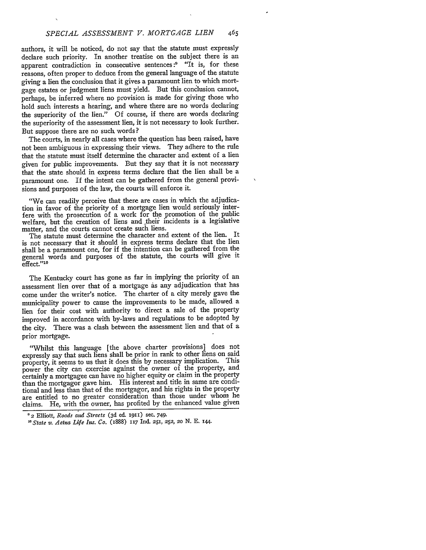authors, it will be noticed, do not say that the statute must expressly declare such priority. In another treatise on the subject there is an apparent contradiction in consecutive sentences:<sup>9</sup> "It is, for these reasons, often proper to deduce from the general language of the statute giving a lien the conclusion that it gives a paramount lien to which mortgage estates or judgment liens must yield. But this conclusion cannot, perhaps, be inferred where no provision is made for giving those who hold such interests a hearing, and where there are no words declaring the superiority of the lien." Of course, if there are words declaring the superiority of the assessment lien, it is not necessary to look further. But suppose there are no such words?

The courts, in nearly all cases where the question has been raised, have not been ambiguous in expressing their views. They adhere to the rule that the statute must itself determine the character and extent of a lien given for public improvements. But they say that it is not necessary that the state should in express terms declare that the lien shall be a paramount one. If the intent can be gathered from the general provisions and purposes of the law, the courts will enforce it.

"We can readily perceive that there are cases in which the adjudication in favor of the priority of a mortgage lien would seriously interfere with the prosecution of a work for the promotion of the public welfare, but the creation of liens and their incidents is a legislative matter, and the courts cannot create such liens.

The statute must determine the character and extent of the lien. It is not necessary that it should in express terms declare that the lien shall be a paramount one, for if the intention can be gathered from the general words and purposes of the statute, the courts will give it effect."10

The Kentucky court has gone as far in implying the priority of an assessment lien over that of a mortgage as any adjudication that has come under the writer's notice. The charter of a city merely gave the municipality power to cause the improvements to be made, allowed a lien for their cost with authority to direct a sale of the property improved in accordance with by-laws and regulations to be adopted **by** the city. There was a clash between the assessment lien and that of a prior mortgage.

"Whilst this language [the above charter provisions] does not expressly say that such liens shall be prior in rank to other liens on said property, it seems to us that it does this **by** necessary implication. This power the city can exercise against the owner of the property, and certainly a mortgagee can have no higher equity or claim in the property than the mortgagor gave him. His interest and title in same are conditional and less than that of the mortgagor, and his rights in the property are entitled to no greater consideration than those under whom he claims. He, with the owner, has profited by the enhanced value given

**<sup>02</sup>** Elliott, *Roads and Streets* (3d ed. 1911) sec. 749.

*<sup>&</sup>quot;State v. Aetna Life Ins. Co.* (1888) 117 Ind. *251, 252, 20* **N.** E. **144.**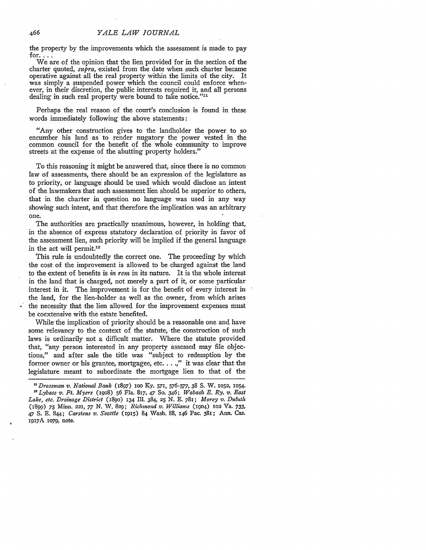the property by the improvements which the assessment is made to pay for....

We are of the opinion that the lien provided for in the section of the charter quoted, *supra,* existed from the date when such charter became operative against all the real property within the limits of the city. It was simply a suspended power which the council could enforce whenever, in their discretion, the public interests required it, and all persons dealing in such real property were bound to take notice."<sup>11</sup>

Perhaps the real reason of the court's conclusion is found in these words immediately following the above statements:

"Any other construction gives to the landholder the power to so encumber his land as to render nugatory the power vested in the common council for the benefit of the whole community to improve streets at the expense of the abutting property holders."

To this reasoning it might be answered that, since there is no common law of assessments, there should be an expression of the legislature as to priority, or language should be used which would disclose an intent of the lawmakers that such assessment lien should be superior to others, that in the charter in question no language was used in any way showing such intent, and that therefore the implication was an arbitrary one.

The authorities are practically unanimous, however, in holding that, in the absence of express statutory declaration of priority in favor of the assessment lien, such priority will be implied if the general language in the act will permit.<sup>12</sup>

This rule is undoubtedly the correct one. The proceeding by which the cost of the improvement is allowed to be charged against the land to the extent of benefits is *in rem* in its nature. It is the whole interest in the land that is charged, not merely a part of it, or some particular interest in it. The improvement is for the benefit of every interest in the land, for the lien-holder as well as the owner, from which arises the necessity that the lien allowed for the improvement expenses must be coextensive with the estate benefited.

While the implication of priority should be a reasonable one and have some relevancy to the context of the statute, the construction of such laws is ordinarily not a difficult matter. Where the statute provided that, "any person interested in any property assessed may file objections," and after sale the title was "subject to redemption by the former owner or his grantee, mortgagee, etc.. . **.,"** it was clear that the legislature meant to subordinate the mortgage lien to that of the

*<sup>&#</sup>x27; Dressan v. National Bank* (1897) **100** Ky. 571, 576-577, 38 **S.** W. **1052, 1054.** *1Lybass v. Ft. Myers* (19o8) **56** Fla. 817, *47* So. 346; *Wabash E. Ry. v. East Lake, etc. Drainage District* (i89o) 134 IIl. 384, **25 N.** E. 781; *Morey-v. Duluth* (1899) **75** Minn. *221,* 77 N. W. 829; *Richmond v. Williams* (19o4) **102** Va. **733,** 47 S. E. 844; *Carstens v. Seattle* (1915) 84 Wash. 88, 146 Pac. 381; Ann. Cas. 1917A *io79,* note.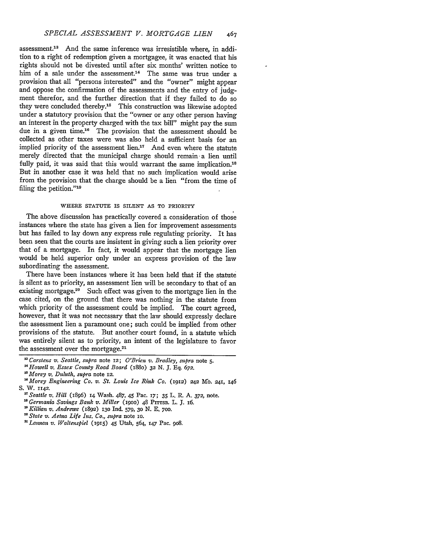assessment.13 And the same inference was irresistible where, in addition to a right of redemption given a mortgagee, it was enacted that his rights should not be divested until after six months' written notice to him of a sale under the assessment.<sup>14</sup> The same was true under a provision that all "persons interested" and the "owner" might appear and oppose the confirmation of the assessments and the entry of judgment therefor, and the further direction that if they failed to do so they were concluded thereby.<sup>15</sup> This construction was likewise adopted under a statutory provision that the "owner or any other person having an interest in the property charged with the tax bill" might pay the sum due in a given time.<sup>16</sup> The provision that the assessment should be collected as other taxes were was also held a sufficient basis for an implied priority of the assessment lien.<sup>17</sup> And even where the statute merely directed that the municipal charge should remain a lien until fully paid, it was said that this would warrant the same implication.<sup>18</sup> But in another case it was held that no such implication would arise from the provision that the charge should be a lien "from the time of filing the petition."<sup>19</sup>

#### **WHERE STATUTE IS SILENT AS TO PRIORITY**

The above discussion has practically covered a consideration of those instances where the state has given a lien for improvement assessments but has failed to lay down any express rule regulating priority. It has been seen that the courts are insistent in giving such a lien priority over that of a mortgage. In fact, it would appear that the mortgage lien would be held superior only under an express provision of the law subordinating the assessment.

There have been instances where it has been held that if the statute is silent as to priority, an assessment lien will be secondary to that of an existing mortgage.<sup>20</sup> Such effect was given to the mortgage lien in the case cited, on the ground that there was nothing in the statute from which priority of the assessment could be implied. The court agreed, however, that it was not necessary that the law should expressly declare the assessment lien a paramount one; such could be implied from other provisions of the statute. But another court found, in a statute which was entirely silent as to priority, an intent of the legislature to favor the assessment over the mortgage.<sup>21</sup>

*<sup>3</sup>Carstens v. Seattle, sitpra* note 12; *O'Brien v. Bradley, supra* note **5.** *14*

*Howell v. Essex County Road Board* (i88o) **32** N. **J. Eq. 672.** *13*

*Morey v. Duluth, supra* note **12.**

*<sup>&</sup>quot;Morey Enginwering Co. v. St. Louis Ice Rink Co.* (1912) 242 MO. 241, **<sup>146</sup> S.** W. **1142.** *" T*

*Seattle v. Hill* (1896) 14 Wash. 487, 45 Pac. **17; 35** L. **R. A. 372,** note.

*Germania Savings Bank v. Miller* (19oo) 48 PIrTsB. L. **J. 6.**

*Killian v. Andrews* (1892) **13o** Ind. 579, 3o *N.* **E.** 7oo.

<sup>&</sup>lt;sup>20</sup> State v. Aetna Life Ins. Co., supra note 10.<br><sup>21</sup> Lannan v. Waltenspiel (1915) 45 Utah, 564, 147 Pac. 908.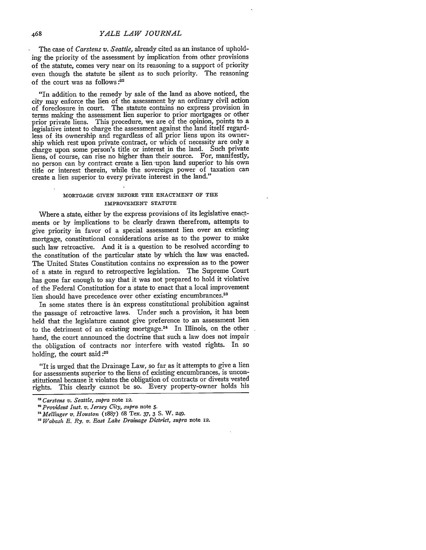The case of *Carstens v. Seattle,* already cited as an instance of upholding the priority of the assessment by implication from other provisions of the statute, comes very near on its reasoning to a support of priority even though the statute be silent as to such priority. The reasoning of the court was as follows: $2^2$ 

"In addition to the remedy by sale of the land as above noticed, the city may enforce the lien of the assessment by an ordinary civil action of foreclosure in court. The statute contains no express provision in terms making the assessment lien superior to prior mortgages or other prior private liens. This procedure, we are of the opinion, points to a legislative intent to charge the assessment against the land itself regardless of its ownership and regardless of all prior liens upon its ownership which rest upon private contract, or which of necessity are only a charge upon some person's title or interest in the land. Such private liens, of course, can rise no higher than their source. For, manifestly, no person can by contract create a lien'upon land superior to his own title or interest therein, while the sovereign power of taxation can create a lien superior to every private interest in the land."

#### **MORTGAGE** GIVEN BEFORE **THE ENACTMENT** OF THE IMPROVEMENT **STATUTE**

Where a state, either by the express provisions of its legislative enactments or by implications to be clearly drawn therefrom, attempts to give priority in favor of a special assessment lien over an existing mortgage, constitutional considerations arise as to the power to make such law retroactive. And it is a question to be resolved according to the constitution of the particular state by which the law was enacted. The United States Constitution contains no expression as to the power of a state in regard to retrospective legislation. The Supreme Court has gone far enough to say that it was not prepared to hold it violative of the Federal Constitution for a state to enact that a local improvement lien should have precedence over other existing encumbrances.<sup>23</sup>

In some states there is an express constitutional prohibition against the passage of retroactive laws. Under such a provision, it has been held that the legislature cannot give preference to an assessment lien to the detriment of an existing mortgage.<sup>24</sup> In Illinois, on the other hand, the court announced the doctrine that such a law does not impair the obligation of contracts nor interfere with vested rights. In so holding, the court said **:25**

"It is urged that the Drainage Law, so far as it attempts to give a lien for assessments superior to the liens of existing encumbrances, is unconstitutional because it violates the obligation of contracts or divests vested rights. This clearly cannot be so. Every property-owner holds his

468

*Carstens v. Seattle, supra* note **12.**

*Provident Inst. v. Jersey City, supra* note **5.**

*<sup>&</sup>quot; Mellinger v. Houston* (1887) 68 Tex. *37, 3* S. W. 249.

*<sup>&</sup>quot; Wabash E. Ry. v. East Lake Drainage District, supra* note **x2.**